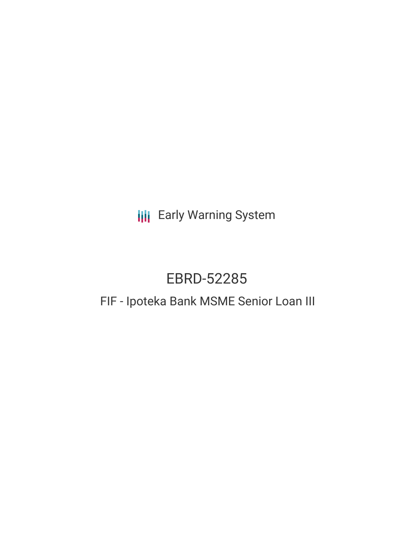**III** Early Warning System

# EBRD-52285

## FIF - Ipoteka Bank MSME Senior Loan III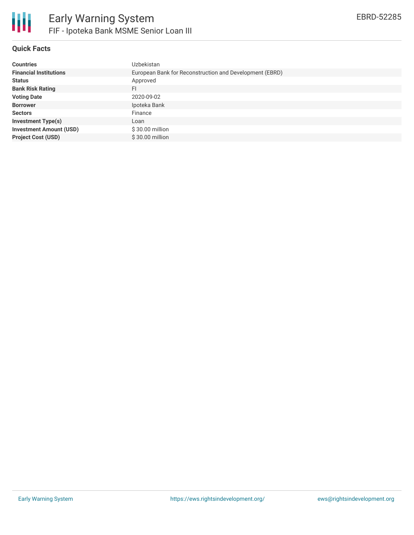

### **Quick Facts**

| <b>Countries</b>               | Uzbekistan                                              |
|--------------------------------|---------------------------------------------------------|
| <b>Financial Institutions</b>  | European Bank for Reconstruction and Development (EBRD) |
| <b>Status</b>                  | Approved                                                |
| <b>Bank Risk Rating</b>        | FI                                                      |
| <b>Voting Date</b>             | 2020-09-02                                              |
| <b>Borrower</b>                | Ipoteka Bank                                            |
| <b>Sectors</b>                 | Finance                                                 |
| <b>Investment Type(s)</b>      | Loan                                                    |
| <b>Investment Amount (USD)</b> | \$30.00 million                                         |
| <b>Project Cost (USD)</b>      | \$30.00 million                                         |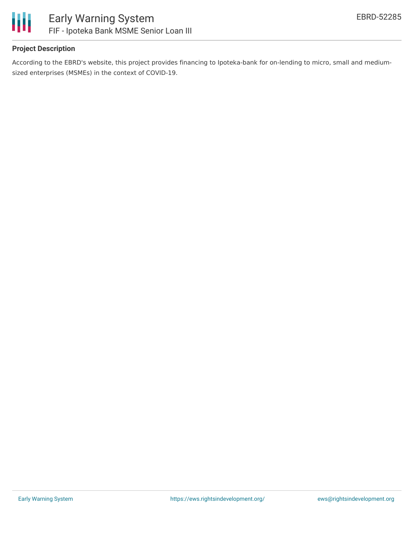

### **Project Description**

According to the EBRD's website, this project provides financing to Ipoteka-bank for on-lending to micro, small and mediumsized enterprises (MSMEs) in the context of COVID-19.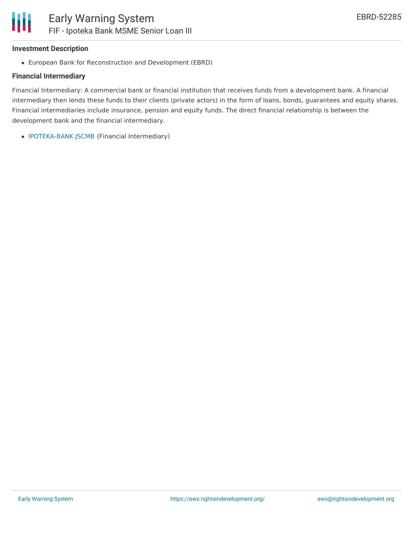#### **Investment Description**

European Bank for Reconstruction and Development (EBRD)

#### **Financial Intermediary**

Financial Intermediary: A commercial bank or financial institution that receives funds from a development bank. A financial intermediary then lends these funds to their clients (private actors) in the form of loans, bonds, guarantees and equity shares. Financial intermediaries include insurance, pension and equity funds. The direct financial relationship is between the development bank and the financial intermediary.

• [IPOTEKA-BANK](file:///actor/3419/) JSCMB (Financial Intermediary)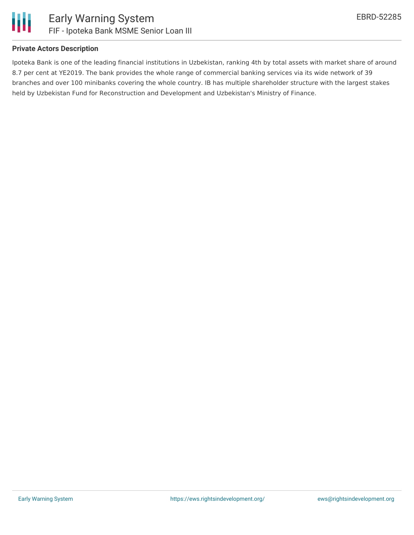

#### **Private Actors Description**

Ipoteka Bank is one of the leading financial institutions in Uzbekistan, ranking 4th by total assets with market share of around 8.7 per cent at YE2019. The bank provides the whole range of commercial banking services via its wide network of 39 branches and over 100 minibanks covering the whole country. IB has multiple shareholder structure with the largest stakes held by Uzbekistan Fund for Reconstruction and Development and Uzbekistan's Ministry of Finance.